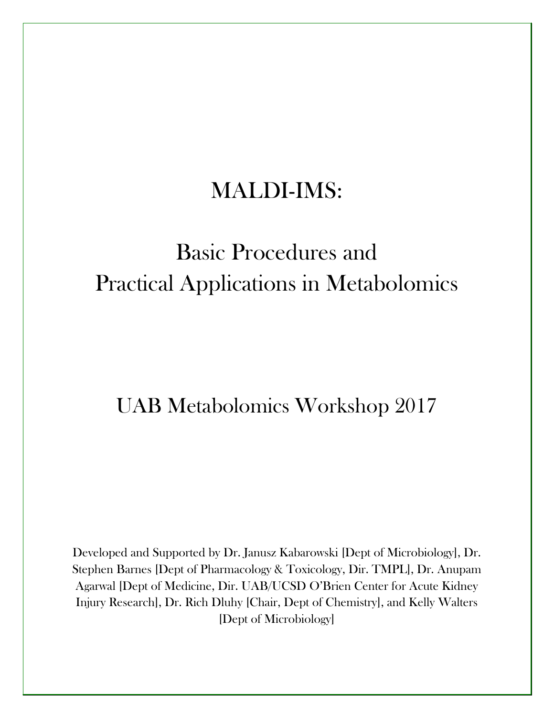# MALDI-IMS:

# Basic Procedures and Practical Applications in Metabolomics

# UAB Metabolomics Workshop 2017

Developed and Supported by Dr. Janusz Kabarowski [Dept of Microbiology], Dr. Stephen Barnes [Dept of Pharmacology & Toxicology, Dir. TMPL], Dr. Anupam Agarwal [Dept of Medicine, Dir. UAB/UCSD O'Brien Center for Acute Kidney Injury Research], Dr. Rich Dluhy [Chair, Dept of Chemistry], and Kelly Walters [Dept of Microbiology]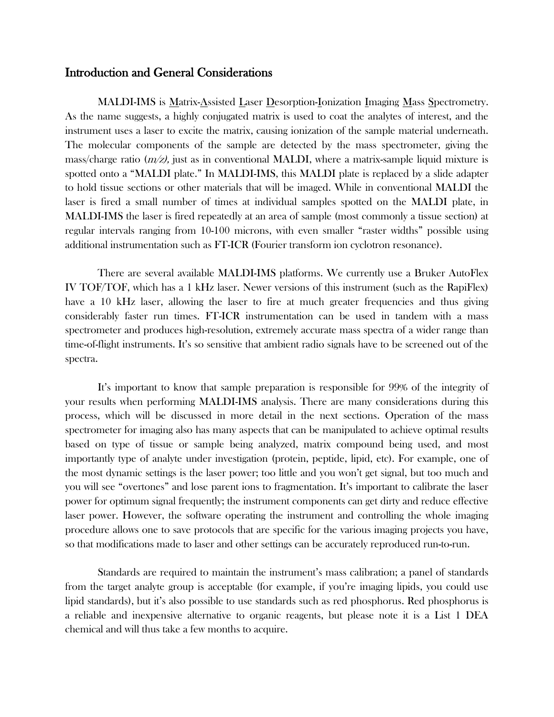#### Introduction and General Considerations

MALDI-IMS is Matrix-Assisted Laser Desorption-Ionization Imaging Mass Spectrometry. As the name suggests, a highly conjugated matrix is used to coat the analytes of interest, and the instrument uses a laser to excite the matrix, causing ionization of the sample material underneath. The molecular components of the sample are detected by the mass spectrometer, giving the mass/charge ratio  $\left(\frac{m}{z}\right)$ , just as in conventional MALDI, where a matrix-sample liquid mixture is spotted onto a "MALDI plate." In MALDI-IMS, this MALDI plate is replaced by a slide adapter to hold tissue sections or other materials that will be imaged. While in conventional MALDI the laser is fired a small number of times at individual samples spotted on the MALDI plate, in MALDI-IMS the laser is fired repeatedly at an area of sample (most commonly a tissue section) at regular intervals ranging from 10-100 microns, with even smaller "raster widths" possible using additional instrumentation such as FT-ICR (Fourier transform ion cyclotron resonance).

There are several available MALDI-IMS platforms. We currently use a Bruker AutoFlex IV TOF/TOF, which has a 1 kHz laser. Newer versions of this instrument (such as the RapiFlex) have a 10 kHz laser, allowing the laser to fire at much greater frequencies and thus giving considerably faster run times. FT-ICR instrumentation can be used in tandem with a mass spectrometer and produces high-resolution, extremely accurate mass spectra of a wider range than time-of-flight instruments. It's so sensitive that ambient radio signals have to be screened out of the spectra.

It's important to know that sample preparation is responsible for 99% of the integrity of your results when performing MALDI-IMS analysis. There are many considerations during this process, which will be discussed in more detail in the next sections. Operation of the mass spectrometer for imaging also has many aspects that can be manipulated to achieve optimal results based on type of tissue or sample being analyzed, matrix compound being used, and most importantly type of analyte under investigation (protein, peptide, lipid, etc). For example, one of the most dynamic settings is the laser power; too little and you won't get signal, but too much and you will see "overtones" and lose parent ions to fragmentation. It's important to calibrate the laser power for optimum signal frequently; the instrument components can get dirty and reduce effective laser power. However, the software operating the instrument and controlling the whole imaging procedure allows one to save protocols that are specific for the various imaging projects you have, so that modifications made to laser and other settings can be accurately reproduced run-to-run.

Standards are required to maintain the instrument's mass calibration; a panel of standards from the target analyte group is acceptable (for example, if you're imaging lipids, you could use lipid standards), but it's also possible to use standards such as red phosphorus. Red phosphorus is a reliable and inexpensive alternative to organic reagents, but please note it is a List 1 DEA chemical and will thus take a few months to acquire.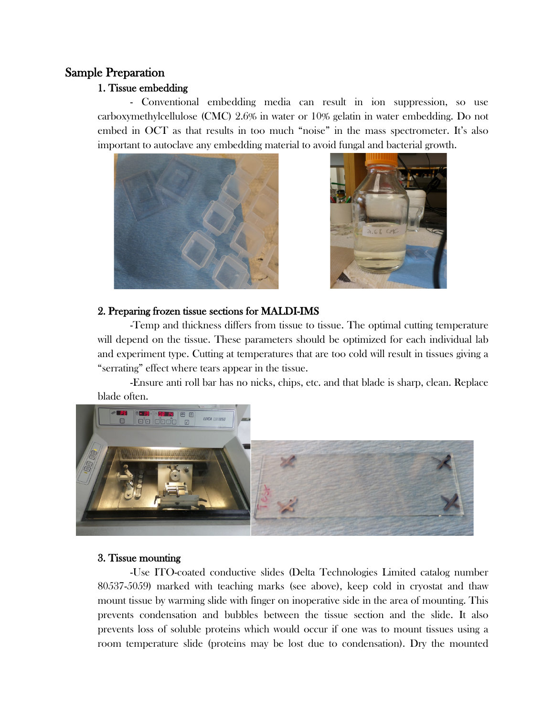# Sample Preparation

# 1. Tissue embedding

- Conventional embedding media can result in ion suppression, so use carboxymethylcellulose (CMC) 2.6% in water or 10% gelatin in water embedding. Do not embed in OCT as that results in too much "noise" in the mass spectrometer. It's also important to autoclave any embedding material to avoid fungal and bacterial growth.





#### 2. Preparing frozen tissue sections for MALDI-IMS

-Temp and thickness differs from tissue to tissue. The optimal cutting temperature will depend on the tissue. These parameters should be optimized for each individual lab and experiment type. Cutting at temperatures that are too cold will result in tissues giving a "serrating" effect where tears appear in the tissue.

-Ensure anti roll bar has no nicks, chips, etc. and that blade is sharp, clean. Replace blade often.



# 3. Tissue mounting

-Use ITO-coated conductive slides (Delta Technologies Limited catalog number 80537-5059) marked with teaching marks (see above), keep cold in cryostat and thaw mount tissue by warming slide with finger on inoperative side in the area of mounting. This prevents condensation and bubbles between the tissue section and the slide. It also prevents loss of soluble proteins which would occur if one was to mount tissues using a room temperature slide (proteins may be lost due to condensation). Dry the mounted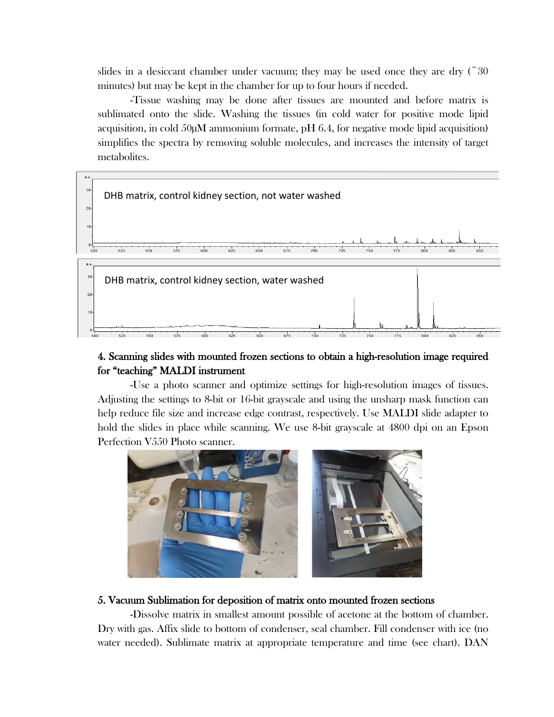slides in a desiccant chamber under vacuum; they may be used once they are dry  $(20$ minutes) but may be kept in the chamber for up to four hours if needed.

-Tissue washing may be done after tissues are mounted and before matrix is sublimated onto the slide. Washing the tissues (in cold water for positive mode lipid acquisition, in cold  $50\mu$ M ammonium formate, pH 6.4, for negative mode lipid acquisition) simplifies the spectra by removing soluble molecules, and increases the intensity of target metabolites.



# 4. Scanning slides with mounted frozen sections to obtain a high-resolution image required for "teaching" MALDI instrument

-Use a photo scanner and optimize settings for high-resolution images of tissues. Adjusting the settings to 8-bit or 16-bit grayscale and using the unsharp mask function can help reduce file size and increase edge contrast, respectively. Use MALDI slide adapter to hold the slides in place while scanning. We use 8-bit grayscale at 4800 dpi on an Epson Perfection V550 Photo scanner.



#### 5. Vacuum Sublimation for deposition of matrix onto mounted frozen sections

-Dissolve matrix in smallest amount possible of acetone at the bottom of chamber. Dry with gas. Affix slide to bottom of condenser, seal chamber. Fill condenser with ice (no water needed). Sublimate matrix at appropriate temperature and time (see chart). DAN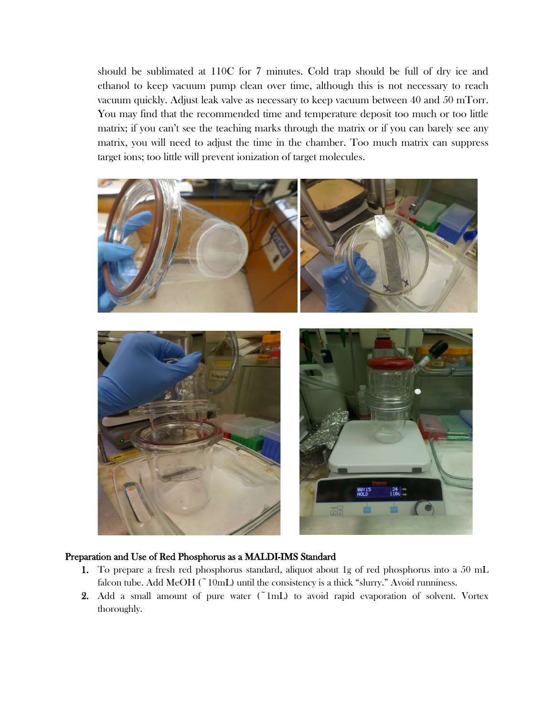should be sublimated at 110C for 7 minutes. Cold trap should be full of dry ice and ethanol to keep vacuum pump clean over time, although this is not necessary to reach vacuum quickly. Adjust leak valve as necessary to keep vacuum between 40 and 50 mTorr. You may find that the recommended time and temperature deposit too much or too little matrix; if you can't see the teaching marks through the matrix or if you can barely see any matrix, you will need to adjust the time in the chamber. Too much matrix can suppress target ions; too little will prevent ionization of target molecules.



#### Preparation and Use of Red Phosphorus as a MALDI-IMS Standard

- 1. To prepare a fresh red phosphorus standard, aliquot about 1g of red phosphorus into a 50 mL falcon tube. Add MeOH ( $\degree$ 10mL) until the consistency is a thick "slurry." Avoid runniness.
- 2. Add a small amount of pure water  $(^{\sim}1\text{mL})$  to avoid rapid evaporation of solvent. Vortex thoroughly.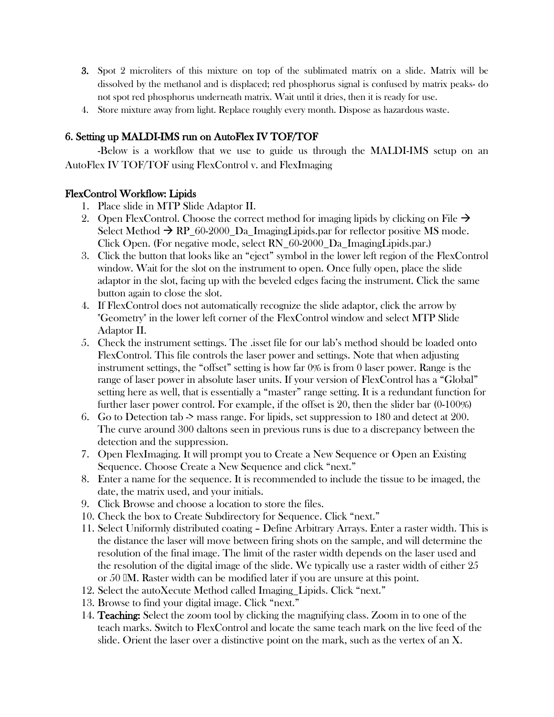- 3. Spot 2 microliters of this mixture on top of the sublimated matrix on a slide. Matrix will be dissolved by the methanol and is displaced; red phosphorus signal is confused by matrix peaks- do not spot red phosphorus underneath matrix. Wait until it dries, then it is ready for use.
- 4. Store mixture away from light. Replace roughly every month. Dispose as hazardous waste.

# 6. Setting up MALDI-IMS run on AutoFlex IV TOF/TOF

-Below is a workflow that we use to guide us through the MALDI-IMS setup on an AutoFlex IV TOF/TOF using FlexControl v. and FlexImaging

# FlexControl Workflow: Lipids

- 1. Place slide in MTP Slide Adaptor II.
- 2. Open FlexControl. Choose the correct method for imaging lipids by clicking on File  $\rightarrow$ Select Method  $\rightarrow$  RP\_60-2000\_Da\_ImagingLipids.par for reflector positive MS mode. Click Open. (For negative mode, select RN\_60-2000\_Da\_ImagingLipids.par.)
- 3. Click the button that looks like an "eject" symbol in the lower left region of the FlexControl window. Wait for the slot on the instrument to open. Once fully open, place the slide adaptor in the slot, facing up with the beveled edges facing the instrument. Click the same button again to close the slot.
- 4. If FlexControl does not automatically recognize the slide adaptor, click the arrow by "Geometry" in the lower left corner of the FlexControl window and select MTP Slide Adaptor II.
- 5. Check the instrument settings. The .isset file for our lab's method should be loaded onto FlexControl. This file controls the laser power and settings. Note that when adjusting instrument settings, the "offset" setting is how far 0% is from 0 laser power. Range is the range of laser power in absolute laser units. If your version of FlexControl has a "Global" setting here as well, that is essentially a "master" range setting. It is a redundant function for further laser power control. For example, if the offset is 20, then the slider bar (0-100%)
- 6. Go to Detection tab -> mass range. For lipids, set suppression to 180 and detect at 200. The curve around 300 daltons seen in previous runs is due to a discrepancy between the detection and the suppression.
- 7. Open FlexImaging. It will prompt you to Create a New Sequence or Open an Existing Sequence. Choose Create a New Sequence and click "next."
- 8. Enter a name for the sequence. It is recommended to include the tissue to be imaged, the date, the matrix used, and your initials.
- 9. Click Browse and choose a location to store the files.
- 10. Check the box to Create Subdirectory for Sequence. Click "next."
- 11. Select Uniformly distributed coating Define Arbitrary Arrays. Enter a raster width. This is the distance the laser will move between firing shots on the sample, and will determine the resolution of the final image. The limit of the raster width depends on the laser used and the resolution of the digital image of the slide. We typically use a raster width of either 25 or 50 M. Raster width can be modified later if you are unsure at this point.
- 12. Select the autoXecute Method called Imaging\_Lipids. Click "next."
- 13. Browse to find your digital image. Click "next."
- 14. Teaching: Select the zoom tool by clicking the magnifying class. Zoom in to one of the teach marks. Switch to FlexControl and locate the same teach mark on the live feed of the slide. Orient the laser over a distinctive point on the mark, such as the vertex of an X.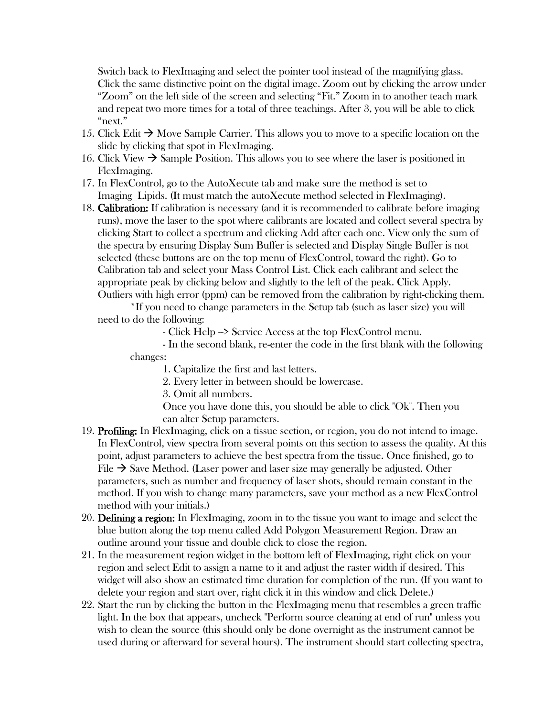Switch back to FlexImaging and select the pointer tool instead of the magnifying glass. Click the same distinctive point on the digital image. Zoom out by clicking the arrow under "Zoom" on the left side of the screen and selecting "Fit." Zoom in to another teach mark and repeat two more times for a total of three teachings. After 3, you will be able to click "next."

- 15. Click Edit  $\rightarrow$  Move Sample Carrier. This allows you to move to a specific location on the slide by clicking that spot in FlexImaging.
- 16. Click View  $\rightarrow$  Sample Position. This allows you to see where the laser is positioned in FlexImaging.
- 17. In FlexControl, go to the AutoXecute tab and make sure the method is set to Imaging Lipids. (It must match the autoXecute method selected in FlexImaging).
- 18. Calibration: If calibration is necessary (and it is recommended to calibrate before imaging runs), move the laser to the spot where calibrants are located and collect several spectra by clicking Start to collect a spectrum and clicking Add after each one. View only the sum of the spectra by ensuring Display Sum Buffer is selected and Display Single Buffer is not selected (these buttons are on the top menu of FlexControl, toward the right). Go to Calibration tab and select your Mass Control List. Click each calibrant and select the appropriate peak by clicking below and slightly to the left of the peak. Click Apply. Outliers with high error (ppm) can be removed from the calibration by right-clicking them.

\*If you need to change parameters in the Setup tab (such as laser size) you will need to do the following:

- Click Help --> Service Access at the top FlexControl menu.

- In the second blank, re-enter the code in the first blank with the following changes:

1. Capitalize the first and last letters.

2. Every letter in between should be lowercase.

3. Omit all numbers.

Once you have done this, you should be able to click "Ok". Then you can alter Setup parameters.

- 19. Profiling: In FlexImaging, click on a tissue section, or region, you do not intend to image. In FlexControl, view spectra from several points on this section to assess the quality. At this point, adjust parameters to achieve the best spectra from the tissue. Once finished, go to File  $\rightarrow$  Save Method. (Laser power and laser size may generally be adjusted. Other parameters, such as number and frequency of laser shots, should remain constant in the method. If you wish to change many parameters, save your method as a new FlexControl method with your initials.)
- 20. Defining a region: In FlexImaging, zoom in to the tissue you want to image and select the blue button along the top menu called Add Polygon Measurement Region. Draw an outline around your tissue and double click to close the region.
- 21. In the measurement region widget in the bottom left of FlexImaging, right click on your region and select Edit to assign a name to it and adjust the raster width if desired. This widget will also show an estimated time duration for completion of the run. (If you want to delete your region and start over, right click it in this window and click Delete.)
- 22. Start the run by clicking the button in the FlexImaging menu that resembles a green traffic light. In the box that appears, uncheck "Perform source cleaning at end of run" unless you wish to clean the source (this should only be done overnight as the instrument cannot be used during or afterward for several hours). The instrument should start collecting spectra,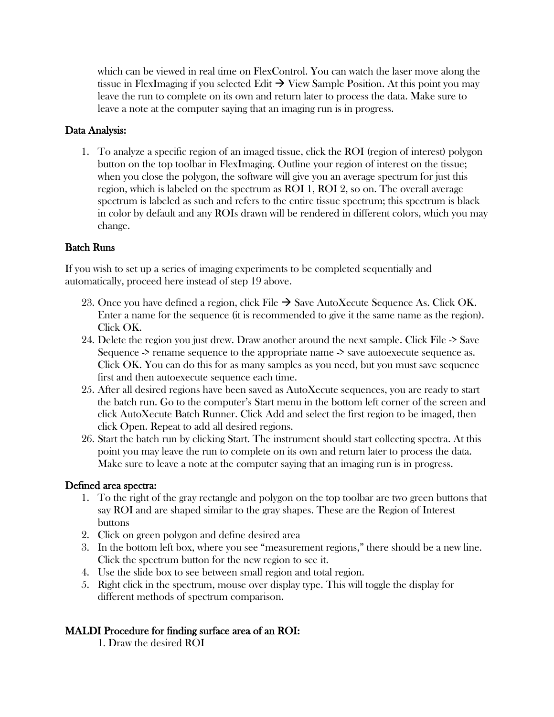which can be viewed in real time on FlexControl. You can watch the laser move along the tissue in FlexImaging if you selected Edit  $\rightarrow$  View Sample Position. At this point you may leave the run to complete on its own and return later to process the data. Make sure to leave a note at the computer saying that an imaging run is in progress.

### Data Analysis:

1. To analyze a specific region of an imaged tissue, click the ROI (region of interest) polygon button on the top toolbar in FlexImaging. Outline your region of interest on the tissue; when you close the polygon, the software will give you an average spectrum for just this region, which is labeled on the spectrum as ROI 1, ROI 2, so on. The overall average spectrum is labeled as such and refers to the entire tissue spectrum; this spectrum is black in color by default and any ROIs drawn will be rendered in different colors, which you may change.

# Batch Runs

If you wish to set up a series of imaging experiments to be completed sequentially and automatically, proceed here instead of step 19 above.

- 23. Once you have defined a region, click File  $\rightarrow$  Save AutoXecute Sequence As. Click OK. Enter a name for the sequence (it is recommended to give it the same name as the region). Click OK.
- 24. Delete the region you just drew. Draw another around the next sample. Click File -> Save Sequence -> rename sequence to the appropriate name -> save autoexecute sequence as. Click OK. You can do this for as many samples as you need, but you must save sequence first and then autoexecute sequence each time.
- 25. After all desired regions have been saved as AutoXecute sequences, you are ready to start the batch run. Go to the computer's Start menu in the bottom left corner of the screen and click AutoXecute Batch Runner. Click Add and select the first region to be imaged, then click Open. Repeat to add all desired regions.
- 26. Start the batch run by clicking Start. The instrument should start collecting spectra. At this point you may leave the run to complete on its own and return later to process the data. Make sure to leave a note at the computer saying that an imaging run is in progress.

#### Defined area spectra:

- 1. To the right of the gray rectangle and polygon on the top toolbar are two green buttons that say ROI and are shaped similar to the gray shapes. These are the Region of Interest buttons
- 2. Click on green polygon and define desired area
- 3. In the bottom left box, where you see "measurement regions," there should be a new line. Click the spectrum button for the new region to see it.
- 4. Use the slide box to see between small region and total region.
- 5. Right click in the spectrum, mouse over display type. This will toggle the display for different methods of spectrum comparison.

#### MALDI Procedure for finding surface area of an ROI:

1. Draw the desired ROI